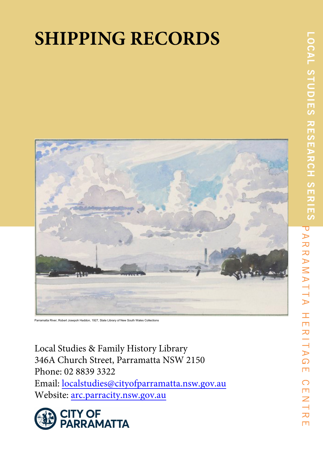# **SHIPPING RECORDS**



Parramatta River, Robert Josepoh Haddon, 1927, State Library of New South Wales Collections

Local Studies & Family History Library 346A Church Street, Parramatta NSW 2150 Phone: 02 8839 3322 Email: localstudies@cityofparramatta.nsw.gov.au Website: arc.parracity.nsw.gov.au

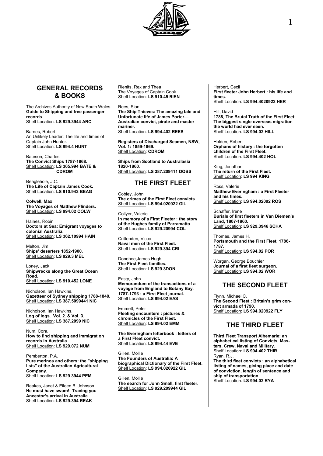

# **GENERAL RECORDS & BOOKS**

The Archives Authority of New South Wales. **Guide to Shipping and free passenger records.** Shelf Location: **LS 929.3944 ARC**

Barnes, Robert An Unlikely Leader: The life and times of Captain John Hunter. Shelf Location: **LS 994.4 HUNT**

Bateson, Charles **The Convict Ships 1787-1868.** Shelf Location: **LS 365.994 BATE & CDROM**

Beaglehole, J.C. **The Life of Captain James Cook.** Shelf Location: **LS 910.942 BEAG**

**Colwell, Max The Voyages of Matthew Flinders.** Shelf Location: **LS 994.02 COLW**

Haines, Robin **Doctors at Sea: Emigrant voyages to colonial Australia.** Shelf Location: **LS 362.10994 HAIN**

Melton, Jim. **Ships' deserters 1852-1900.** Shelf Location: **LS 929.3 MEL**

Loney, Jack **Shipwrecks along the Great Ocean Road.** Shelf Location: **LS 910.452 LONE**

Nicholson, Ian Hawkins. **Gazetteer of Sydney shipping 1788-1840.** Shelf Location: **LS 387.5099441 NIC**

Nicholson, Ian Hawkins. **Log of logs. Vol. 2. & Vol. 3.** Shelf Location: **LS 387.2099 NIC**

Num, Cora. **How to find shipping and immigration records in Australia.** Shelf Location: **LS 929.072 NUM**

Pemberton, P.A. **Pure merinos and others: the "shipping lists" of the Australian Agricultural Company.** Shelf Location: **LS 929.3944 PEM**

Reakes, Janet & Eileen B. Johnson **He must have swum!: Tracing you Ancestor's arrival in Australia.** Shelf Location: **LS 929.394 REAK**

Rienits, Rex and Thea The Voyages of Captain Cook. Shelf Location: **LS 910.45 RIEN**

#### Rees, Sian

**The Ship Thieves: The amazing tale and Unfortunate life of James Porter— Australian convict, pirate and master mariner.**  Shelf Location: **LS 994.402 REES**

**Registers of Discharged Seamen, NSW, Vol. 1: 1859-1869.** Shelf Location: **CDROM**

**Ships from Scotland to Australasia 1820-1860**. Shelf Location: **LS 387.209411 DOBS**

# **THE FIRST FLEET**

Cobley, John **The crimes of the First Fleet convicts.** Shelf Location: **LS 994.020922 GIL**

Collyer, Valerie **In memory of a First Fleeter : the story of the Hughes family of Parramatta.** Shelf Location: **LS 929.20994 COL**

Crittenden, Victor **Naval men of the First Fleet.** Shelf Location: **LS 929.394 CRI**

Donohoe,James Hugh **The First Fleet families.** Shelf Location: **LS 929.3DON**

Easty, John

**Memorandum of the transactions of a voyage from England to Botany Bay, 1787-1793 : a First Fleet journal.** Shelf Location: **LS 994.02 EAS**

Emmett, Peter **Fleeting encounters : pictures & chronicles of the First Fleet.** Shelf Location: **LS 994.02 EMM**

**The Everingham letterbook : letters of a First Fleet convict.** Shelf Location: **LS 994.44 EVE**

Gillen, Mollie **The Founders of Australia: A biographical Dictionary of the First Fleet.** Shelf Location: **LS 994.020922 GIL**

Gillen, Mollie **The search for John Small, first fleeter.** Shelf Location: **LS 929.209944 GIL**

Herbert, Cecil **First fleeter John Herbert : his life and times.** Shelf Location: **LS 994.4020922 HER**

Hill, David **1788, The Brutal Truth of the First Fleet: The biggest single overseas migration the world had ever seen.** Shelf Location: **LS 994.02 HILL**

Holden, Robert **Orphans of history : the forgotten children of the First Fleet.** Shelf Location: **LS 994.402 HOL**

King, Jonathan **The return of the First Fleet.** Shelf Location: **LS 994 KING**

Ross, Valerie **Matthew Everingham : a First Fleeter and his times.** Shelf Location: **LS 994.02092 ROS**

Schaffer, Irene **Burials of first fleeters in Van Diemen's Land, 1807-1860.** Shelf Location: **LS 929.3946 SCHA**

Thomas, James H. **Portsmouth and the First Fleet, 1786- 1787.** Shelf Location: **LS 994.02 POR**

Worgan, George Bouchier **Journal of a first fleet surgeon.** Shelf Location: **LS 994.02 WOR**

# **THE SECOND FLEET**

Flynn, Michael C. **The Second Fleet : Britain's grim convict armada of 1790.** Shelf Location: **LS 994.020922 FLY**

# **THE THIRD FLEET**

**Third Fleet Transport Albemarle: an alphabetical listing of Convicts, Masters, Crew, Naval and Military.** Shelf Location: **LS 994.402 THIR** Ryan, R.J. **The third fleet convicts : an alphabetical listing of names, giving place and date of conviction, length of sentence and ship of transportation.**

Shelf Location: **LS 994.02 RYA**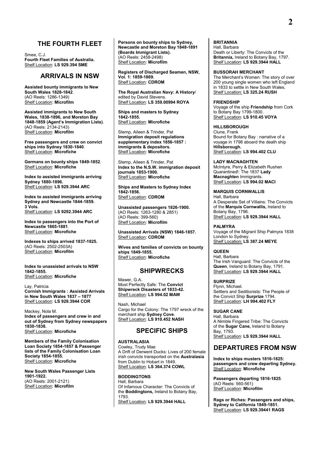# **THE FOURTH FLEET**

Smee, C.J. **Fourth Fleet Families of Australia.** Shelf Location: **LS 929.394 SME**

# **ARRIVALS IN NSW**

**Assisted bounty immigrants to New South Wales 1828-1842**. (AO Reels: 1286-1349) Shelf Location: **Microfilm**

**Assisted immigrants to New South Wales, 1838-1896, and Moreton Bay 1848-1859 (Agent's Immigration Lists)**. (AO Reels: 2134-2143) Shelf Location: **Microfilm**

**Free passengers and crew on convict ships into Sydney 1830-1840**. Shelf Location: **Microfiche**

**Germans on bounty ships 1849-1852**. Shelf Location: **Microfiche**

**Index to assisted immigrants arriving Sydney 1880-1896.** Shelf Location: **LS 929.3944 ARC**

**Index to assisted immigrants arriving Sydney and Newcastle 1844-1859. 3 Vols.** Shelf Location: **LS 9292.3944 ARC**

**Index to passengers into the Port of Newcastle 1865-1881**. Shelf Location: **Microfiche**

**Indexes to ships arrived 1837-1925.** (AO Reels: 2502-2503A) Shelf Location: **Microfilm**

**Index to unassisted arrivals to NSW 1842-1855.**  Shelf Location: **Microfiche**

Lay, Patricia **Cornish Immigrants : Assisted Arrivals in New South Wales 1837 – 1877** Shelf Location: **LS 929.3944 COR**

Mackey, Nola M. **Index of passengers and crew in and out of Sydney from Sydney newspapers 1830-1838.**  Shelf Location: **Microfiche**

**Members of the Family Colonisation Loan Society 1854-1857 & Passenger lists of the Family Colonisation Loan Society 1854-1855.** Shelf Location: **Microfiche**

**New South Wales Passenger Lists 1901-1922.** (AO Reels: 2001-2121) Shelf Location: **Microfilm**

**Persons on bounty ships to Sydney, Newcastle and Moreton Bay 1848-1891 (Boards Immigrant Lists).** (AO Reels: 2458-2498) Shelf Location: **Microfilm**

**Registers of Discharged Seamen, NSW, Vol. 1: 1859-1869.** Shelf Location: **CDROM**

**The Royal Australian Navy: A History**/ edited by David Stevens. Shelf Location: **LS 359.00994 ROYA**

**Ships and masters to Sydney 1842-1855.**  Shelf Location: **Microfiche**

Stemp, Aileen & Trinder, Pat **Immigration deposit regulations supplementary index 1856-1857 : immigrants & depositors.** Shelf Location: **Microfiche**

Stemp, Aileen & Trinder, Pat **Index to the N.S.W. immigration deposit journals 1853-1900.**  Shelf Location: **Microfiche**

**Ships and Masters to Sydney Index 1842-1856.** Shelf Location: **CDROM**

**Unassisted passengers 1826-1900.** (AO Reels: 1263-1280 & 2851) (AO Reels: 399-560) Shelf Location: **Microfilm**

**Unassisted Arrivals (NSW) 1846-1857.** Shelf Location: **CDROM**

**Wives and families of convicts on bounty ships 1849-1855.** Shelf Location: **Microfiche**

## **SHIPWRECKS**

Mawer, G.A. Most Perfectly Safe: The **Convict Shipwreck Disasters of 1833-42.** Shelf Location: **LS 994.02 MAW**

Nash, Michael Cargo for the Colony: The 1797 wreck of the merchant ship **Sydney Cove**. Shelf Location: **LS 910.452 NASH**

# **SPECIFIC SHIPS**

**AUSTRALASIA**

Cowley, Trudy Mae A Drift of Derwent Ducks: Lives of 200 female irish convicts transported on the **Australasia**  from Dublin to Hobart in 1849. Shelf Location: **LS 364.374 COWL**

**BODDINGTONS** Hall, Barbara Of Infamous Character: The Convicts of the **Boddingtons,** Ireland to Botany Bay, 1793. Shelf Location: **LS 929.3944 HALL**

**BRITANNIA**

Hall, Barbara Death or Liberty: The Convicts of the **Britannia,** Ireland to Botany Bay, 1797. Shelf Location: **LS 929.3944 HALL**

#### **BUSSORAH MERCHANT**

The Merchant's Women: The story of over 200 young single women who left England in 1833 to settle in New South Wales. Shelf Location: **LS 325.24 RUSH**

#### **FRIENDSHIP**

Voyage of the ship **Friendship** from Cork to Botany Bay 1799-1800. Shelf Location: **LS 910.45 VOYA**

#### **HILLSBOROUGH**

Clune, Frank Bound for Botany Bay : narrative of a voyage in 1798 aboard the death ship **Hillsborough.** Shelf Location: **LS 994.402 CLU**

**LADY MACNAGHTEN**

McIntyre, Perry & Elizabeth Rushen Quarantined!: The 1837 **Lady Macnaghten** Immigrants. Shelf Location: **LS 994.02 MACI**

**MARQUIS CORNWALLIS** Hall, Barbara A Desperate Set of Villains: The Convicts of the **Marquis Cornwallis,** Ireland to Botany Bay, 1796. Shelf Location: **LS 929.3944 HALL**

#### **PALMYRA**

Voyage of the Migrant Ship Palmyra 1838 London to Sydney. Shelf Location: **LS 387.24 MEYE**

**QUEEN** Hall, Barbara The Irish Vanguard: The Convicts of the **Queen**, Ireland to Botany Bay, 1791. Shelf Location: **LS 929.3944 HALL**

#### **SURPRIZE**

Flynn, Michael. Settlers and Seditionists: The People of the Convict Ship **Surprize** 1794. Shelf Location: **LH 994.402 FLY**

**SUGAR CANE** Hall, Barbara A Nimble Fingered Tribe: The Convicts of the **Sugar Cane,** Ireland to Botany Bay, 1793. Shelf Location: **LS 929.3944 HALL**

# **DEPARTURES FROM NSW**

**Index to ships musters 1816-1825: passengers and crew departing Sydney.**  Shelf Location: **Microfiche**

**Passengers departing 1816-1825**. (AO Reels: 560-561) Shelf Location: **Microfilm**

**Rags or Riches: Passengers and ships, Sydney to California 1849-1851.** Shelf Location: **LS 929.39441 RAGS**